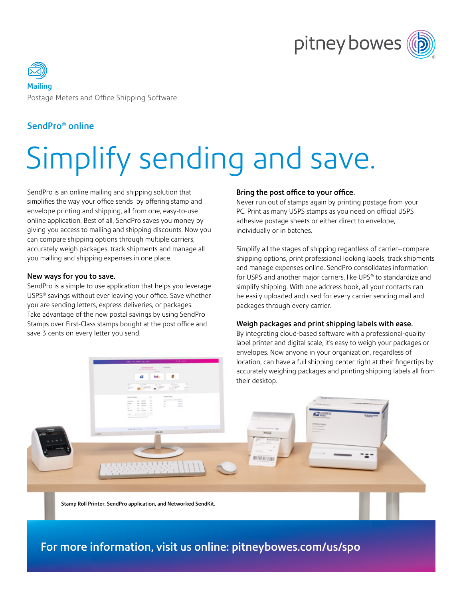



### SendPro® online

# Simplify sending and save.

SendPro is an online mailing and shipping solution that simplifies the way your office sends by offering stamp and envelope printing and shipping, all from one, easy-to-use online application. Best of all, SendPro saves you money by giving you access to mailing and shipping discounts. Now you can compare shipping options through multiple carriers, accurately weigh packages, track shipments and manage all you mailing and shipping expenses in one place.

#### New ways for you to save.

SendPro is a simple to use application that helps you leverage USPS® savings without ever leaving your office. Save whether you are sending letters, express deliveries, or packages. Take advantage of the new postal savings by using SendPro Stamps over First-Class stamps bought at the post office and save 3 cents on every letter you send.

#### Bring the post office to your office.

Never run out of stamps again by printing postage from your PC. Print as many USPS stamps as you need on official USPS adhesive postage sheets or either direct to envelope, individually or in batches.

Simplify all the stages of shipping regardless of carrier--compare shipping options, print professional looking labels, track shipments and manage expenses online. SendPro consolidates information for USPS and another major carriers, like UPS® to standardize and simplify shipping. With one address book, all your contacts can be easily uploaded and used for every carrier sending mail and packages through every carrier.

#### Weigh packages and print shipping labels with ease.

By integrating cloud-based software with a professional-quality label printer and digital scale, it's easy to weigh your packages or envelopes. Now anyone in your organization, regardless of location, can have a full shipping center right at their fingertips by accurately weighing packages and printing shipping labels all from their desktop.

Stamp Roll Printer, SendPro application, and Networked SendKit.

## For more information, visit us online: [pitneybowes.com/us/spo](http://pitneybowes.com/us/spo)

001011111101